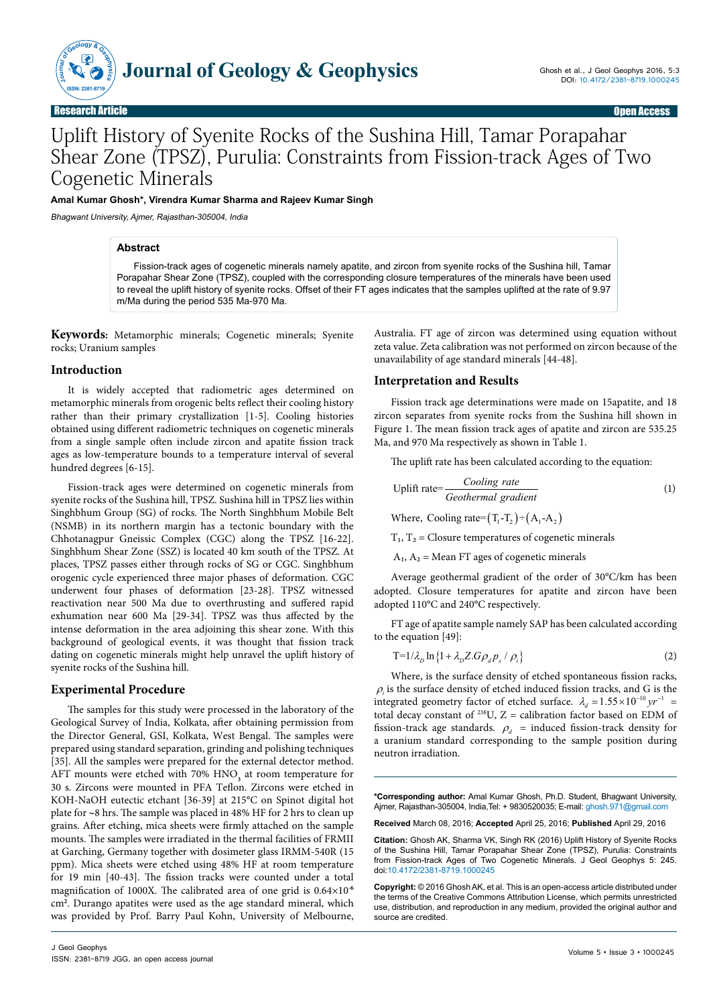

# Uplift History of Syenite Rocks of the Sushina Hill, Tamar Porapahar Shear Zone (TPSZ), Purulia: Constraints from Fission-track Ages of Two Cogenetic Minerals

**Amal Kumar Ghosh\*, Virendra Kumar Sharma and Rajeev Kumar Singh**

Bhagwant University, Ajmer, Rajasthan-305004, India

### **Abstract**

Fission-track ages of cogenetic minerals namely apatite, and zircon from syenite rocks of the Sushina hill, Tamar Porapahar Shear Zone (TPSZ), coupled with the corresponding closure temperatures of the minerals have been used to reveal the uplift history of syenite rocks. Offset of their FT ages indicates that the samples uplifted at the rate of 9.97 m/Ma during the period 535 Ma-970 Ma.

**Keywords:** Metamorphic minerals; Cogenetic minerals; Syenite rocks; Uranium samples

#### **Introduction**

It is widely accepted that radiometric ages determined on metamorphic minerals from orogenic belts reflect their cooling history rather than their primary crystallization [1-5]. Cooling histories obtained using different radiometric techniques on cogenetic minerals from a single sample often include zircon and apatite fission track ages as low-temperature bounds to a temperature interval of several hundred degrees [6-15].

Fission-track ages were determined on cogenetic minerals from syenite rocks of the Sushina hill, TPSZ. Sushina hill in TPSZ lies within Singhbhum Group (SG) of rocks. The North Singhbhum Mobile Belt (NSMB) in its northern margin has a tectonic boundary with the Chhotanagpur Gneissic Complex (CGC) along the TPSZ [16-22]. Singhbhum Shear Zone (SSZ) is located 40 km south of the TPSZ. At places, TPSZ passes either through rocks of SG or CGC. Singhbhum orogenic cycle experienced three major phases of deformation. CGC underwent four phases of deformation [23-28]. TPSZ witnessed reactivation near 500 Ma due to overthrusting and suffered rapid exhumation near 600 Ma [29-34]. TPSZ was thus affected by the intense deformation in the area adjoining this shear zone. With this background of geological events, it was thought that fission track dating on cogenetic minerals might help unravel the uplift history of syenite rocks of the Sushina hill.

#### **Experimental Procedure**

The samples for this study were processed in the laboratory of the Geological Survey of India, Kolkata, after obtaining permission from the Director General, GSI, Kolkata, West Bengal. The samples were prepared using standard separation, grinding and polishing techniques [35]. All the samples were prepared for the external detector method. AFT mounts were etched with 70% HNO<sub>3</sub> at room temperature for 30 s. Zircons were mounted in PFA Teflon. Zircons were etched in KOH-NaOH eutectic etchant [36-39] at 215°C on Spinot digital hot plate for ∼8 hrs. The sample was placed in 48% HF for 2 hrs to clean up grains. After etching, mica sheets were firmly attached on the sample mounts. The samples were irradiated in the thermal facilities of FRMII at Garching, Germany together with dosimeter glass IRMM-540R (15 ppm). Mica sheets were etched using 48% HF at room temperature for 19 min [40-43]. The fission tracks were counted under a total magnification of 1000X. The calibrated area of one grid is 0.64×10**-6** cm**<sup>2</sup>** . Durango apatites were used as the age standard mineral, which was provided by Prof. Barry Paul Kohn, University of Melbourne,

Australia. FT age of zircon was determined using equation without zeta value. Zeta calibration was not performed on zircon because of the unavailability of age standard minerals [44-48].

#### **Interpretation and Results**

Fission track age determinations were made on 15apatite, and 18 zircon separates from syenite rocks from the Sushina hill shown in Figure 1. The mean fission track ages of apatite and zircon are 535.25 Ma, and 970 Ma respectively as shown in Table 1.

The uplift rate has been calculated according to the equation:

$$
Uplift rate = \frac{Cooling\ rate}{Geothermal\ gradient}
$$
 (1)

Where, Cooling rate= $(T_1 - T_2) \div (A_1 - A_2)$ 

 $T_1$ ,  $T_2$  = Closure temperatures of cogenetic minerals

 $A_1$ ,  $A_2$  = Mean FT ages of cogenetic minerals

Average geothermal gradient of the order of 30°C/km has been adopted. Closure temperatures for apatite and zircon have been adopted 110°C and 240°C respectively.

FT age of apatite sample namely SAP has been calculated according to the equation [49]:

$$
T=1/\lambda_D \ln\left\{1+\lambda_D Z.G\rho_d p_s/\rho_i\right\} \tag{2}
$$

Where, is the surface density of etched spontaneous fission racks,  $\rho_i$  is the surface density of etched induced fission tracks, and G is the integrated geometry factor of etched surface.  $\lambda_d = 1.55 \times 10^{-10} \, yr^{-1}$ total decay constant of  $238U$ , Z = calibration factor based on EDM of fission-track age standards.  $\rho_d$  = induced fission-track density for a uranium standard corresponding to the sample position during neutron irradiation.

**\*Corresponding author:** Amal Kumar Ghosh, Ph.D. Student, Bhagwant University, Ajmer, Rajasthan-305004, India,Tel: + 9830520035; E-mail: ghosh.971@gmail.com

**Received** March 08, 2016; **Accepted** April 25, 2016; **Published** April 29, 2016

**Citation:** Ghosh AK, Sharma VK, Singh RK (2016) Uplift History of Syenite Rocks of the Sushina Hill, Tamar Porapahar Shear Zone (TPSZ), Purulia: Constraints from Fission-track Ages of Two Cogenetic Minerals. J Geol Geophys 5: 245. doi:10.4172/2381-8719.1000245

**Copyright:** © 2016 Ghosh AK, et al. This is an open-access article distributed under the terms of the Creative Commons Attribution License, which permits unrestricted use, distribution, and reproduction in any medium, provided the original author and source are credited.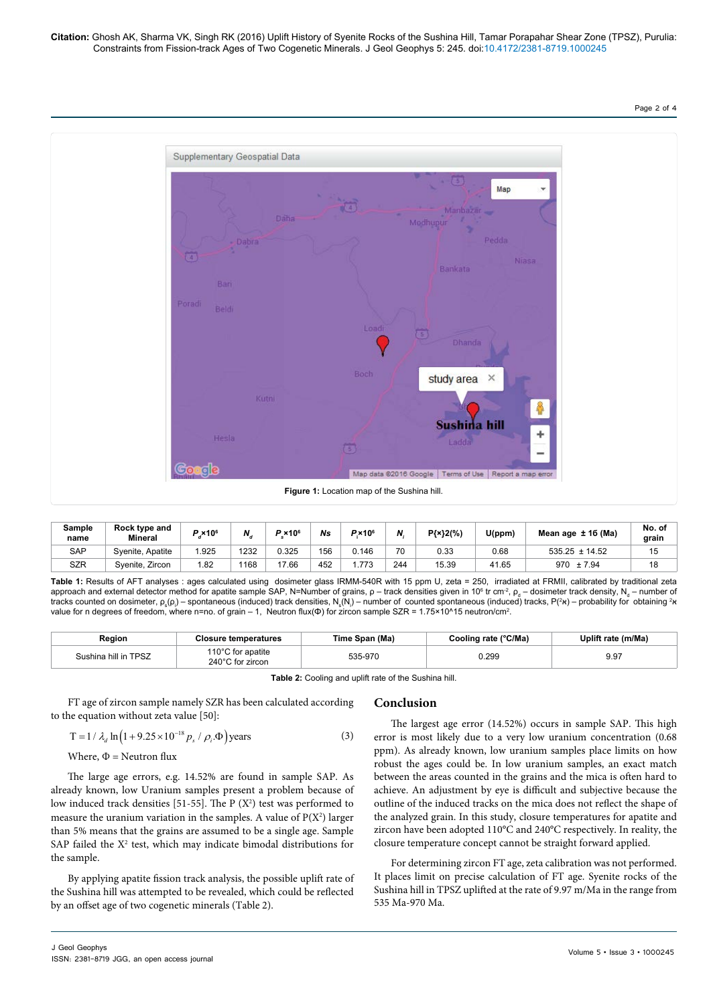Page 2 of 4



| Sample<br>name | Rock type and<br>Mineral | $\times 10^6$ | N    | $P \times 10^6$ | Ns  | $P\times 10^6$ | N.  | P{×}2(%) | U(ppm) | Mean age $± 16$ (Ma) | No. of<br>grain |
|----------------|--------------------------|---------------|------|-----------------|-----|----------------|-----|----------|--------|----------------------|-----------------|
| <b>SAP</b>     | Syenite, Apatite         | .925          | 1232 | 325.(           | 156 | 0.146          | 70  | 0.33     | 0.68   | $535.25 \pm 14.52$   | 15              |
| <b>SZR</b>     | Syenite, Zircon          | 1.82          | 1168 | 17.66           | 452 | . 773          | 244 | 15.39    | 41.65  | 970<br>± 7.94        | 18              |

**Table 1:** Results of AFT analyses : ages calculated using dosimeter glass IRMM-540R with 15 ppm U, zeta = 250, irradiated at FRMII, calibrated by traditional zeta approach and external detector method for apatite sample SAP, N=Number of grains,  $\rho$  – track densities given in 10º tr cm²,  $\rho_{_\text{d}}$  – dosimeter track density, N $_\text{d}$  – number of tracks counted on dosimeter, ρ<sub>s</sub>(ρ<sub>i</sub>) – spontaneous (induced) track densities, N<sub>s</sub>(N<sub>i</sub>) – number of counted spontaneous (induced) tracks, P(²א) – probability for obtaining ²<sub>N</sub> value for n degrees of freedom, where n=no. of grain – 1, Neutron flux(Φ) for zircon sample SZR = 1.75×10^15 neutron/cm².

| Region               | e temperatures !                      | Span (Ma)<br>Time | Cooling rate (°C/Ma) | (m/Ma<br>Joliff<br>: rate |  |
|----------------------|---------------------------------------|-------------------|----------------------|---------------------------|--|
| Sushina hill in TPSZ | 110°C for apatite<br>240°C for zircon | 535-970           | 0.299                | 9.97                      |  |

**Table 2:** Cooling and uplift rate of the Sushina hill.

FT age of zircon sample namely SZR has been calculated according to the equation without zeta value [50]:

$$
T = 1 / \lambda_d \ln \left( 1 + 9.25 \times 10^{-18} p_s / \rho_i \Phi \right) \text{years}
$$
 (3)

Where, 
$$
\Phi
$$
 = Neutron flux

The large age errors, e.g. 14.52% are found in sample SAP. As already known, low Uranium samples present a problem because of low induced track densities  $[51-55]$ . The P  $(X^2)$  test was performed to measure the uranium variation in the samples. A value of  $P(X^2)$  larger than 5% means that the grains are assumed to be a single age. Sample SAP failed the  $X^2$  test, which may indicate bimodal distributions for the sample.

By applying apatite fission track analysis, the possible uplift rate of the Sushina hill was attempted to be revealed, which could be reflected by an offset age of two cogenetic minerals (Table 2).

## **Conclusion**

The largest age error (14.52%) occurs in sample SAP. This high error is most likely due to a very low uranium concentration (0.68 ppm). As already known, low uranium samples place limits on how robust the ages could be. In low uranium samples, an exact match between the areas counted in the grains and the mica is often hard to achieve. An adjustment by eye is difficult and subjective because the outline of the induced tracks on the mica does not reflect the shape of the analyzed grain. In this study, closure temperatures for apatite and zircon have been adopted 110°C and 240°C respectively. In reality, the closure temperature concept cannot be straight forward applied.

For determining zircon FT age, zeta calibration was not performed. It places limit on precise calculation of FT age. Syenite rocks of the Sushina hill in TPSZ uplifted at the rate of 9.97 m/Ma in the range from 535 Ma-970 Ma.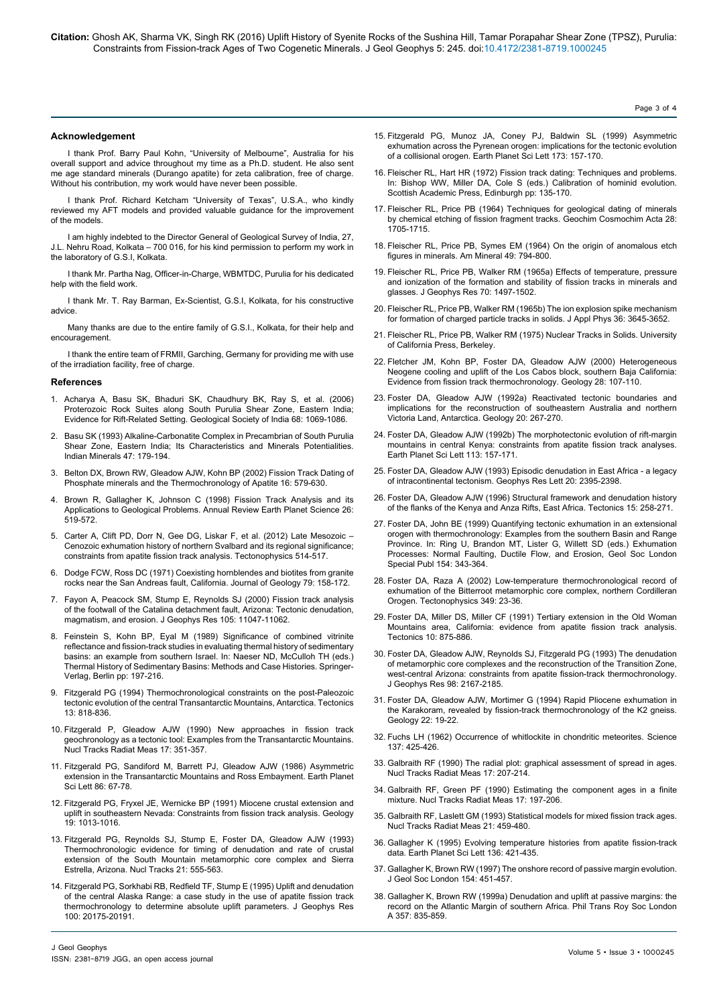#### **Acknowledgement**

I thank Prof. Barry Paul Kohn, "University of Melbourne", Australia for his overall support and advice throughout my time as a Ph.D. student. He also sent me age standard minerals (Durango apatite) for zeta calibration, free of charge. Without his contribution, my work would have never been possible.

I thank Prof. Richard Ketcham "University of Texas", U.S.A., who kindly reviewed my AFT models and provided valuable guidance for the improvement of the models.

I am highly indebted to the Director General of Geological Survey of India, 27, J.L. Nehru Road, Kolkata – 700 016, for his kind permission to perform my work in the laboratory of G.S.I, Kolkata.

I thank Mr. Partha Nag, Officer-in-Charge, WBMTDC, Purulia for his dedicated help with the field work.

I thank Mr. T. Ray Barman, Ex-Scientist, G.S.I, Kolkata, for his constructive advice.

Many thanks are due to the entire family of G.S.I., Kolkata, for their help and encouragement.

I thank the entire team of FRMII, Garching, Germany for providing me with use of the irradiation facility, free of charge.

#### **References**

- 1. Acharya A, Basu SK, Bhaduri [SK, Chaudhury](http://www.geosocindia.org/index.php/jgsi/article/view/81715) BK, Ray S, et al. (2006) Proterozoic Rock Suites along South Purulia Shear [Zone, Eastern](http://www.geosocindia.org/index.php/jgsi/article/view/81715) India; Evidence for Rift-Related [Setting. Geological](http://www.geosocindia.org/index.php/jgsi/article/view/81715) Society of India 68: 1069-1086.
- 2. Basu [SK \(1993\) Alkaline-Carbonatite](https://www.researchgate.net/publication/285690852_Alkaline-carbonatite_complex_in_Precambrian_of_South_Purulia_Shear_Zone_eastern_India_its_characteristics_and_mineral_potentialities) Complex in Precambrian of South Purulia Shear Zone, Eastern India; Its [Characteristics](https://www.researchgate.net/publication/285690852_Alkaline-carbonatite_complex_in_Precambrian_of_South_Purulia_Shear_Zone_eastern_India_its_characteristics_and_mineral_potentialities) and Minerals Potentialities. Indian Minerals [47: 179-194.](https://www.researchgate.net/publication/285690852_Alkaline-carbonatite_complex_in_Precambrian_of_South_Purulia_Shear_Zone_eastern_India_its_characteristics_and_mineral_potentialities)
- 3. Belton DX, Brown RW, Gleadow AJW, Kohn [BP \(2002\) Fission](http://rimg.geoscienceworld.org/content/48/1/579) Track Dating of Phosphate minerals and the [Thermochronology](http://rimg.geoscienceworld.org/content/48/1/579) of Apatite 16: 579-630.
- 4. Brown R, Gallagher K, Johnson [C \(1998\) Fission](http://www.annualreviews.org/doi/abs/10.1146/annurev.earth.26.1.519) Track Analysis and its Applications to Geological [Problems. Annual](http://www.annualreviews.org/doi/abs/10.1146/annurev.earth.26.1.519) Review Earth Planet Science 26: [519-572.](http://www.annualreviews.org/doi/abs/10.1146/annurev.earth.26.1.519)
- 5. Carter A, Clift PD, Dorr N, Gee DG, Liskar F, et [al. \(2012\) Late](http://www.sciencedirect.com/science/article/pii/S0040195111004136) Mesozoic Cenozoic exhumation history of northern Svalbard and its regional [significance](http://www.sciencedirect.com/science/article/pii/S0040195111004136); constraints from apatite fission track [analysis. Tectonophysics](http://www.sciencedirect.com/science/article/pii/S0040195111004136) 514-517.
- 6. Dodge FCW, Ross [DC \(1971\) Coexisting](http://www.jstor.org/stable/30079725?seq=1#page_scan_tab_contents) hornblendes and biotites from granite rocks near the San Andreas [fault, California. Journal](http://www.jstor.org/stable/30079725?seq=1#page_scan_tab_contents) of Geology 79: 158-172.
- 7. Fayon A, Peacock SM, Stump E, Reynolds [SJ \(2000\) Fission](https://www.researchgate.net/publication/253775992_Fission_track_analysis_of_the_footwall_of_the_Catalina_detachment_fault_Arizona_Tectonic_denudation_magmatism_and_erosion) track analysis of the footwall of the Catalina detachment [fault, Arizona: Tectonic](https://www.researchgate.net/publication/253775992_Fission_track_analysis_of_the_footwall_of_the_Catalina_detachment_fault_Arizona_Tectonic_denudation_magmatism_and_erosion) denudation, magmatism, and erosion. J Geophys Res [105: 11047-11062.](https://www.researchgate.net/publication/253775992_Fission_track_analysis_of_the_footwall_of_the_Catalina_detachment_fault_Arizona_Tectonic_denudation_magmatism_and_erosion)
- 8. Feinstein S, Kohn BP, Eyal M (1989) [Significance](http://link.springer.com/chapter/10.1007%2F978-1-4612-3492-0_12) of combined vitrinite reflectance and fission-track studies in evaluating thermal history of [sedimentary](http://link.springer.com/chapter/10.1007%2F978-1-4612-3492-0_12) basins: an example from southern Israel. In: Naeser [ND, McCulloh](http://link.springer.com/chapter/10.1007%2F978-1-4612-3492-0_12) TH (eds.) Thermal History of Sedimentary Basins: Methods and Case [Histories. Springer-](http://link.springer.com/chapter/10.1007%2F978-1-4612-3492-0_12)[Verlag, B](http://link.springer.com/chapter/10.1007%2F978-1-4612-3492-0_12)erlin pp: 197-216.
- 9. Fitzgerald [PG \(1994\) Thermochronological](http://onlinelibrary.wiley.com/doi/10.1029/94TC00595/abstract) constraints on the post-Paleozoic tectonic evolution of the central Transantarctic [Mountains, Antarctica. Tectonics](http://onlinelibrary.wiley.com/doi/10.1029/94TC00595/abstract) [13: 818-836.](http://onlinelibrary.wiley.com/doi/10.1029/94TC00595/abstract)
- 10. Fitzgerald P, Gleadow [AJW \(1990\) New](http://www.sciencedirect.com/science/article/pii/1359018990900575) approaches in fission track [geochronology](http://www.sciencedirect.com/science/article/pii/1359018990900575) as a tectonic tool: Examples from the Transantarctic Mountains. Nucl Tracks Radiat Meas [17: 351-357.](http://www.sciencedirect.com/science/article/pii/1359018990900575)
- 11. Fitzgerald PG, Sandiford M, Barrett PJ, Gleadow [AJW \(1986\) Asymmetric](http://www.sciencedirect.com/science/article/pii/0012821X86901019) extension in the Transantarctic Mountains and Ross [Embayment. Earth](http://www.sciencedirect.com/science/article/pii/0012821X86901019) Planet Sci Lett [86: 67-78.](http://www.sciencedirect.com/science/article/pii/0012821X86901019)
- 12. Fitzgerald PG, Fryxel JE, Wernicke [BP \(1991\) Miocene](http://geology.gsapubs.org/content/19/10/1013.abstract) crustal extension and uplift in southeastern [Nevada: Constraints](http://geology.gsapubs.org/content/19/10/1013.abstract) from fission track analysis. Geology [19: 1013-1016.](http://geology.gsapubs.org/content/19/10/1013.abstract)
- 13. Fitzgerald [PG, Reynolds](http://www.sciencedirect.com/science/article/pii/135901899390196G) SJ, Stump E, Foster DA, Gleadow AJW (1993) [Thermochronologic](http://www.sciencedirect.com/science/article/pii/135901899390196G) evidence for timing of denudation and rate of crustal extension of the South Mountain [metamorphic](http://www.sciencedirect.com/science/article/pii/135901899390196G) core complex and Sierra [Estrella, Arizona. Nucl](http://www.sciencedirect.com/science/article/pii/135901899390196G) Tracks 21: 555-563.
- 14. Fitzgerald PG, Sorkhabi RB, Redfield TF, Stump [E \(1995\) Uplift](http://onlinelibrary.wiley.com/doi/10.1029/95JB02150/abstract) and denudation of the central Alaska [Range: a](http://onlinelibrary.wiley.com/doi/10.1029/95JB02150/abstract) case study in the use of apatite fission track [thermochronology](http://onlinelibrary.wiley.com/doi/10.1029/95JB02150/abstract) to determine absolute uplift parameters. J Geophys Res [100: 20175-20191.](http://onlinelibrary.wiley.com/doi/10.1029/95JB02150/abstract)
- 15. Fitzgerald PG, Munoz JA, Coney PJ, Baldwin [SL \(1999\) Asymmetric](http://www.sciencedirect.com/science/article/pii/S0012821X99002253) exhumation across the Pyrenean [orogen: implications](http://www.sciencedirect.com/science/article/pii/S0012821X99002253) for the tectonic evolution of a collisional orogen. Earth Planet Sci Lett [173: 157-170.](http://www.sciencedirect.com/science/article/pii/S0012821X99002253)
- 16. Fleischer RL, Hart HR (1972) Fission track dating: Techniques and problems. In: Bishop WW, Miller DA, Cole S (eds.) Calibration of hominid evolution. Scottish Academic Press, Edinburgh pp: 135-170.
- 17. Fleischer RL, Price [PB \(1964\) Techniques](http://www.sciencedirect.com/science/article/pii/0016703764900171) for geological dating of minerals by chemical etching of fission fragment [tracks. Geochim](http://www.sciencedirect.com/science/article/pii/0016703764900171) Cosmochim Acta 28: [1705-1715.](http://www.sciencedirect.com/science/article/pii/0016703764900171)
- 18. Fleischer RL, Price PB, Symes EM (1964) On the origin of anomalous etch figures in minerals. Am Mineral 49: 794-800.
- 19. Fleischer RL, Price PB, Walker RM (1965a) Effects of [temperature, pressure](http://onlinelibrary.wiley.com/doi/10.1029/JZ070i006p01497/full) and [ionization](http://onlinelibrary.wiley.com/doi/10.1029/JZ070i006p01497/full) of the formation and stability of fission tracks in minerals and glasses. J Geophys Res [70: 1497-1502.](http://onlinelibrary.wiley.com/doi/10.1029/JZ070i006p01497/full)
- 20. Fleischer RL, Price PB, Walker [RM \(1965b\) The](http://scitation.aip.org/content/aip/journal/jap/36/11/10.1063/1.1703059) ion explosion spike mechanism for formation of charged particle tracks in solids. J Appl Phys [36: 3645-3652.](http://scitation.aip.org/content/aip/journal/jap/36/11/10.1063/1.1703059)
- 21. Fleischer RL, Price PB, Walker RM (1975) Nuclear Tracks in Solids. University of California Press, Berkeley.
- 22. Fletcher JM, Kohn BP, Foster DA, Gleadow [AJW \(2000\) Heterogeneous](http://geology.gsapubs.org/content/28/2/107.abstract) Neogene cooling and uplift of the Los Cabos [block, southern](http://geology.gsapubs.org/content/28/2/107.abstract) Baja California: Evidence from fission track [thermochronology. Geology](http://geology.gsapubs.org/content/28/2/107.abstract) 28: 107-110.
- 23. Foster DA, Gleadow [AJW \(1992a\) Reactivated](http://geology.gsapubs.org/content/20/3/267.abstract) tectonic boundaries and implications for the [reconstruction](http://geology.gsapubs.org/content/20/3/267.abstract) of southeastern Australia and northern Victoria [Land, Antarctica. Geology](http://geology.gsapubs.org/content/20/3/267.abstract) 20: 267-270.
- 24. Foster DA, Gleadow [AJW \(1992b\) The](http://www.academia.edu/18236092/The_morphotectonic_evolution_of_rift-margin_mountains_in_central_Kenya_Constraints_from_apatite_fission-track_thermochronology) morphotectonic evolution of rift-margin mountains in central [Kenya: constraints](http://www.academia.edu/18236092/The_morphotectonic_evolution_of_rift-margin_mountains_in_central_Kenya_Constraints_from_apatite_fission-track_thermochronology) from apatite fission track analyses. Earth Planet Sci Lett [113: 157-171.](http://www.academia.edu/18236092/The_morphotectonic_evolution_of_rift-margin_mountains_in_central_Kenya_Constraints_from_apatite_fission-track_thermochronology)
- 25. Foster DA, Gleadow [AJW \(1993\) Episodic](http://onlinelibrary.wiley.com/doi/10.1029/93GL02814/full) denudation in East Africa a legacy of intracontinental [tectonism. Geophys](http://onlinelibrary.wiley.com/doi/10.1029/93GL02814/full) Res Lett 20: 2395-2398.
- 26. Foster DA, Gleadow [AJW \(1996\) Structural](http://adsabs.harvard.edu/abs/1996Tecto..15..258F) framework and denudation history of the flanks of the Kenya and Anza Rifts, East [Africa. Tectonics](http://adsabs.harvard.edu/abs/1996Tecto..15..258F) 15: 258-271.
- 27. Foster DA, John [BE \(1999\) Quantifying](http://sp.lyellcollection.org/content/154/1/343.abstract) tectonic exhumation in an extensional orogen with [thermochronology: Examples](http://sp.lyellcollection.org/content/154/1/343.abstract) from the southern Basin and Range Province. In: Ring U, Brandon MT, Lister G, Willett [SD \(eds.\) Exhumation](http://sp.lyellcollection.org/content/154/1/343.abstract) [Processes: Normal](http://sp.lyellcollection.org/content/154/1/343.abstract) Faulting, Ductile Flow, and Erosion, Geol Soc London Special Publ [154: 343-364.](http://sp.lyellcollection.org/content/154/1/343.abstract)
- 28. Foster DA, Raza [A \(2002\) Low-temperature](http://www.sciencedirect.com/science/article/pii/S0040195102000446) thermochronological record of exhumation of the Bitterroot metamorphic core [complex, northern](http://www.sciencedirect.com/science/article/pii/S0040195102000446) Cordilleran [Orogen. Tectonophysics](http://www.sciencedirect.com/science/article/pii/S0040195102000446) 349: 23-36.
- 29. Foster DA, Miller DS, Miller [CF \(1991\) Tertiary](http://onlinelibrary.wiley.com/doi/10.1029/91TC00865/full) extension in the Old Woman Mountains [area, California: evidence](http://onlinelibrary.wiley.com/doi/10.1029/91TC00865/full) from apatite fission track analysis. Tectonics [10: 875-886.](http://onlinelibrary.wiley.com/doi/10.1029/91TC00865/full)
- 30. Foster DA, Gleadow [AJW, Reynolds](http://onlinelibrary.wiley.com/doi/10.1029/92JB02407/abstract) SJ, Fitzgerald PG (1993) The denudation of metamorphic core complexes and the [reconstruction](http://onlinelibrary.wiley.com/doi/10.1029/92JB02407/abstract) of the Transition Zone, west-central [Arizona: constraints](http://onlinelibrary.wiley.com/doi/10.1029/92JB02407/abstract) from apatite fission-track thermochronology. J Geophys Res [98: 2167-2185.](http://onlinelibrary.wiley.com/doi/10.1029/92JB02407/abstract)
- 31. Foster DA, Gleadow AJW, Mortimer [G \(1994\) Rapid](http://geology.gsapubs.org/content/22/1/19.abstract) Pliocene exhumation in the [Karakoram, revealed](http://geology.gsapubs.org/content/22/1/19.abstract) by fission-track thermochronology of the K2 gneiss. Geology [22: 19-22.](http://geology.gsapubs.org/content/22/1/19.abstract)
- 32. Fuchs [LH \(1962\) Occurrence](http://www.ncbi.nlm.nih.gov/pubmed/17779252) of whitlockite in chondritic meteorites. Science [137: 425-426.](http://www.ncbi.nlm.nih.gov/pubmed/17779252)
- 33. Galbraith [RF \(1990\) The](http://www.sciencedirect.com/science/article/pii/135901899090036W) radial plot: graphical assessment of spread in ages. Nucl Tracks Radiat Meas [17: 207-214.](http://www.sciencedirect.com/science/article/pii/135901899090036W)
- 34. Galbraith RF, Green [PF \(1990\) Estimating](http://discovery.ucl.ac.uk/143837/) the component ages in a finite [mixture. Nucl](http://discovery.ucl.ac.uk/143837/) Tracks Radiat Meas 17: 197-206.
- 35. Galbraith RF, Laslett [GM \(1993\) Statistical](http://discovery.ucl.ac.uk/143840/) models for mixed fission track ages. Nucl Tracks Radiat Meas [21: 459-480.](http://discovery.ucl.ac.uk/143840/)
- 36. Gallagher [K \(1995\) Evolving](http://www.sciencedirect.com/science/article/pii/0012821X9500197K) temperature histories from apatite fission-track data. Earth Planet Sci Lett [136: 421-435.](http://www.sciencedirect.com/science/article/pii/0012821X9500197K)
- 37. Gallagher K, Brown [RW \(1997\) The](http://jgs.lyellcollection.org/content/154/3/451.abstract) onshore record of passive margin evolution. J Geol Soc London [154: 451-457.](http://jgs.lyellcollection.org/content/154/3/451.abstract)
- 38. Gallagher K, Brown [RW \(1999a\) Denudation](http://rsta.royalsocietypublishing.org/content/357/1753/835) and uplift at passive margins: the record on the Atlantic Margin of southern [Africa. Phil](http://rsta.royalsocietypublishing.org/content/357/1753/835) Trans Roy Soc London A [357: 835-859.](http://rsta.royalsocietypublishing.org/content/357/1753/835)